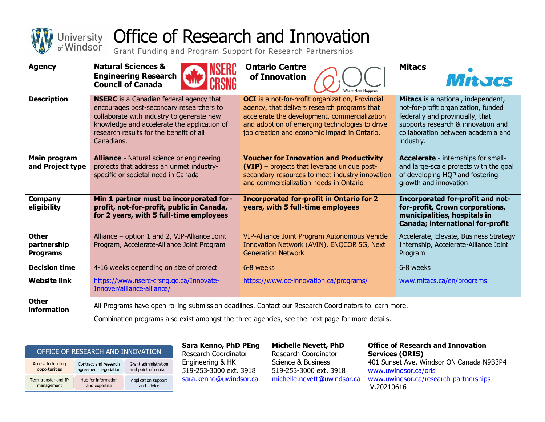

## University Office of Research and Innovation

Grant Funding and Program Support for Research Partnerships

| <b>Agency</b>                                  | <b>Natural Sciences &amp;</b><br><b>Engineering Research</b><br><b>Council of Canada</b>                                                                                                                                                        | <b>Ontario Centre</b><br>of Innovation                                                                                                                                                                                                                     | <b>Mitacs</b><br>MitJGS                                                                                                                                                                                |
|------------------------------------------------|-------------------------------------------------------------------------------------------------------------------------------------------------------------------------------------------------------------------------------------------------|------------------------------------------------------------------------------------------------------------------------------------------------------------------------------------------------------------------------------------------------------------|--------------------------------------------------------------------------------------------------------------------------------------------------------------------------------------------------------|
| <b>Description</b>                             | <b>NSERC</b> is a Canadian federal agency that<br>encourages post-secondary researchers to<br>collaborate with industry to generate new<br>knowledge and accelerate the application of<br>research results for the benefit of all<br>Canadians. | <b>OCI</b> is a not-for-profit organization, Provincial<br>agency, that delivers research programs that<br>accelerate the development, commercialization<br>and adoption of emerging technologies to drive<br>job creation and economic impact in Ontario. | Mitacs is a national, independent,<br>not-for-profit organization, funded<br>federally and provincially, that<br>supports research & innovation and<br>collaboration between academia and<br>industry. |
| Main program<br>and Project type               | <b>Alliance</b> - Natural science or engineering<br>projects that address an unmet industry-<br>specific or societal need in Canada                                                                                                             | <b>Voucher for Innovation and Productivity</b><br>(VIP) - projects that leverage unique post-<br>secondary resources to meet industry innovation<br>and commercialization needs in Ontario                                                                 | <b>Accelerate</b> - internships for small-<br>and large-scale projects with the goal<br>of developing HQP and fostering<br>growth and innovation                                                       |
| Company<br>eligibility                         | Min 1 partner must be incorporated for-<br>profit, not-for-profit, public in Canada,<br>for 2 years, with 5 full-time employees                                                                                                                 | <b>Incorporated for-profit in Ontario for 2</b><br>years, with 5 full-time employees                                                                                                                                                                       | Incorporated for-profit and not-<br>for-profit, Crown corporations,<br>municipalities, hospitals in<br>Canada; international for-profit                                                                |
| <b>Other</b><br>partnership<br><b>Programs</b> | Alliance - option 1 and 2, VIP-Alliance Joint<br>Program, Accelerate-Alliance Joint Program                                                                                                                                                     | VIP-Alliance Joint Program Autonomous Vehide<br>Innovation Network (AVIN), ENQCOR 5G, Next<br><b>Generation Network</b>                                                                                                                                    | Accelerate, Elevate, Business Strategy<br>Internship, Accelerate-Alliance Joint<br>Program                                                                                                             |
| <b>Decision time</b>                           | 4-16 weeks depending on size of project                                                                                                                                                                                                         | 6-8 weeks                                                                                                                                                                                                                                                  | 6-8 weeks                                                                                                                                                                                              |
| <b>Website link</b>                            | https://www.nserc-crsnq.qc.ca/Innovate-<br>Innover/alliance-alliance/                                                                                                                                                                           | https://www.oc-innovation.ca/programs/                                                                                                                                                                                                                     | www.mitacs.ca/en/programs                                                                                                                                                                              |
| <b>Other</b><br>information                    |                                                                                                                                                                                                                                                 | All Programs have open rolling submission deadlines. Contact our Research Coordinators to learn more.                                                                                                                                                      |                                                                                                                                                                                                        |

Combination programs also exist amongst the three agencies, see the next page for more details.

## OFFICE OF RESEARCH AND INNOVATION

| Access to funding    | Contract and research | Grant administration |  |
|----------------------|-----------------------|----------------------|--|
| opportunities        | agreement negotiation | and point of contact |  |
| Tech transfer and IP | Hub for information   | Application support  |  |
| management           | and expertise         | and advice           |  |

**Sara Kenno, PhD PEng** Research Coordinator – Engineering & HK 519-253-3000 ext. 3918 [sara.kenno@uwindsor.ca](mailto:sara.kenno@uwindsor.ca) 

**Michelle Nevett, PhD** Research Coordinator – Science & Business 519-253-3000 ext. 3918 [michelle.nevett@uwindsor.ca](mailto:michelle.nevett@uwindsor.ca)

**Office of Research and Innovation Services (ORIS)** 401 Sunset Ave. Windsor ON Canada N9B3P4 [www.uwindsor.ca/oris](http://www.uwindsor.ca/oris)  [www.uwindsor.ca/research-partnerships](http://www.uwindsor.ca/research-partnerships) V.20210616